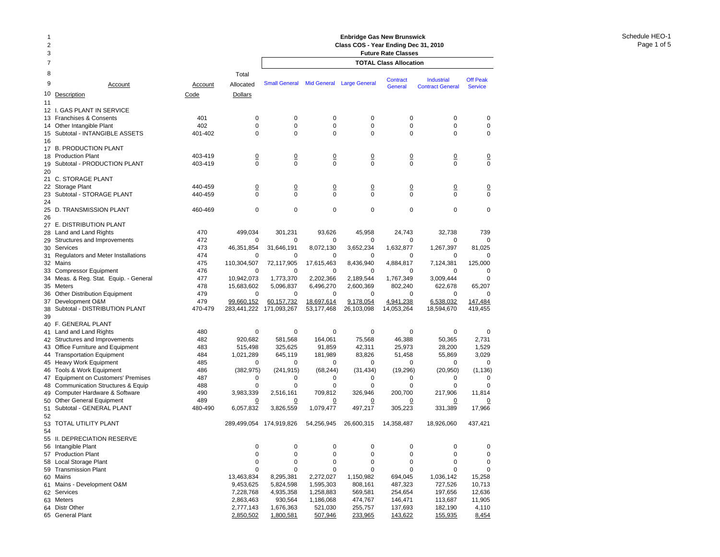| 1<br>$\overline{2}$<br>3 |                                                                    |                    |                               | <b>Enbridge Gas New Brunswick</b><br>Class COS - Year Ending Dec 31, 2010<br><b>Future Rate Classes</b> |                               |                               |                               |                                              |                                   |
|--------------------------|--------------------------------------------------------------------|--------------------|-------------------------------|---------------------------------------------------------------------------------------------------------|-------------------------------|-------------------------------|-------------------------------|----------------------------------------------|-----------------------------------|
| 7                        |                                                                    |                    |                               |                                                                                                         |                               |                               | <b>TOTAL Class Allocation</b> |                                              |                                   |
| 8                        |                                                                    |                    | Total                         |                                                                                                         |                               |                               |                               |                                              |                                   |
| 9                        | Account                                                            | Account            | Allocated                     | <b>Small General</b>                                                                                    |                               | Mid General Large General     | Contract<br>General           | <b>Industrial</b><br><b>Contract General</b> | <b>Off Peak</b><br><b>Service</b> |
| 10                       | Description                                                        | Code               | Dollars                       |                                                                                                         |                               |                               |                               |                                              |                                   |
| 11                       |                                                                    |                    |                               |                                                                                                         |                               |                               |                               |                                              |                                   |
| 12 I.                    | <b>GAS PLANT IN SERVICE</b><br>Franchises & Consents               | 401                | $\mathbf 0$                   | $\mathbf 0$                                                                                             | 0                             | $\mathbf 0$                   | 0                             | 0                                            | 0                                 |
| 13<br>14                 | Other Intangible Plant                                             | 402                | 0                             | 0                                                                                                       | $\mathbf 0$                   | 0                             | 0                             | 0                                            | $\mathbf 0$                       |
| 15                       | Subtotal - INTANGIBLE ASSETS                                       | 401-402            | 0                             | $\mathbf 0$                                                                                             | 0                             | $\mathbf 0$                   | 0                             | 0                                            | 0                                 |
| 16                       |                                                                    |                    |                               |                                                                                                         |                               |                               |                               |                                              |                                   |
|                          | 17 B. PRODUCTION PLANT<br><b>Production Plant</b>                  | 403-419            |                               |                                                                                                         |                               |                               |                               |                                              |                                   |
| 18<br>19                 | Subtotal - PRODUCTION PLANT                                        | 403-419            | $\overline{0}$<br>$\mathbf 0$ | $\overline{0}$<br>$\mathbf 0$                                                                           | $\overline{0}$<br>$\mathbf 0$ | $\overline{0}$<br>$\mathbf 0$ | $\overline{0}$<br>0           | $\overline{0}$<br>$\mathbf 0$                | $\overline{0}$<br>$\mathbf 0$     |
| 20                       |                                                                    |                    |                               |                                                                                                         |                               |                               |                               |                                              |                                   |
|                          | 21 C. STORAGE PLANT                                                |                    |                               |                                                                                                         |                               |                               |                               |                                              |                                   |
|                          | 22 Storage Plant<br>Subtotal - STORAGE PLANT                       | 440-459<br>440-459 | $\overline{0}$<br>$\Omega$    | $\overline{0}$<br>$\mathbf 0$                                                                           | $\overline{0}$<br>$\Omega$    | $\overline{0}$<br>$\Omega$    | 0<br>$\Omega$                 | $\overline{0}$<br>$\Omega$                   | $\overline{0}$<br>$\mathbf 0$     |
| 23<br>24                 |                                                                    |                    |                               |                                                                                                         |                               |                               |                               |                                              |                                   |
|                          | 25 D. TRANSMISSION PLANT                                           | 460-469            | 0                             | $\mathbf 0$                                                                                             | 0                             | $\mathbf 0$                   | 0                             | 0                                            | $\mathbf 0$                       |
| 26                       |                                                                    |                    |                               |                                                                                                         |                               |                               |                               |                                              |                                   |
|                          | 27 E. DISTRIBUTION PLANT<br>Land and Land Rights                   | 470                |                               |                                                                                                         |                               |                               |                               |                                              | 739                               |
| 28<br>29                 | Structures and Improvements                                        | 472                | 499,034<br>$\mathbf 0$        | 301,231<br>0                                                                                            | 93,626<br>0                   | 45,958<br>0                   | 24,743<br>0                   | 32,738<br>0                                  | $\Omega$                          |
|                          | 30 Services                                                        | 473                | 46,351,854                    | 31,646,191                                                                                              | 8,072,130                     | 3,652,234                     | 1,632,877                     | 1,267,397                                    | 81,025                            |
|                          | 31 Regulators and Meter Installations                              | 474                | $\mathbf 0$                   | 0                                                                                                       | 0                             | 0                             | 0                             | 0                                            | $\Omega$                          |
|                          | 32 Mains                                                           | 475                | 110,304,507                   | 72,117,905                                                                                              | 17,615,463                    | 8,436,940                     | 4,884,817                     | 7,124,381                                    | 125,000                           |
| 33<br>34                 | <b>Compressor Equipment</b><br>Meas. & Reg. Stat. Equip. - General | 476<br>477         | 0<br>10,942,073               | $\mathbf 0$<br>1,773,370                                                                                | 0<br>2,202,366                | $\mathbf 0$<br>2,189,544      | 0<br>1,767,349                | 0<br>3,009,444                               | $\mathbf 0$<br>0                  |
|                          | 35 Meters                                                          | 478                | 15,683,602                    | 5,096,837                                                                                               | 6,496,270                     | 2,600,369                     | 802,240                       | 622,678                                      | 65,207                            |
| 36                       | <b>Other Distribution Equipment</b>                                | 479                | 0                             | $\mathbf 0$                                                                                             | 0                             | 0                             | 0                             | $\mathbf 0$                                  | $\mathbf 0$                       |
| 37                       | Development O&M                                                    | 479                | 99,660,152                    | 60,157,732                                                                                              | 18,697,614                    | 9,178,054                     | 4,941,238                     | 6,538,032                                    | 147,484                           |
| 38<br>39                 | Subtotal - DISTRIBUTION PLANT                                      | 470-479            | 283,441,222                   | 171,093,267                                                                                             | 53, 177, 468                  | 26,103,098                    | 14,053,264                    | 18,594,670                                   | 419,455                           |
|                          | 40 F. GENERAL PLANT                                                |                    |                               |                                                                                                         |                               |                               |                               |                                              |                                   |
|                          | 41 Land and Land Rights                                            | 480                | $\mathbf 0$                   | 0                                                                                                       | 0                             | $\mathbf 0$                   | 0                             | $\mathbf 0$                                  | $\mathbf 0$                       |
|                          | 42 Structures and Improvements                                     | 482                | 920,682                       | 581,568                                                                                                 | 164,061                       | 75,568                        | 46,388                        | 50,365                                       | 2,731                             |
|                          | 43 Office Furniture and Equipment                                  | 483                | 515,498                       | 325,625                                                                                                 | 91,859                        | 42,311                        | 25,973                        | 28,200                                       | 1,529                             |
| 44                       | <b>Transportation Equipment</b><br>45 Heavy Work Equipment         | 484<br>485         | 1,021,289<br>0                | 645,119<br>0                                                                                            | 181,989<br>0                  | 83,826<br>0                   | 51,458<br>0                   | 55,869<br>0                                  | 3,029<br>0                        |
|                          | 46 Tools & Work Equipment                                          | 486                | (382, 975)                    | (241, 915)                                                                                              | (68, 244)                     | (31, 434)                     | (19, 296)                     | (20, 950)                                    | (1, 136)                          |
|                          | 47 Equipment on Customers' Premises                                | 487                | 0                             | 0                                                                                                       | 0                             | 0                             | 0                             | 0                                            | ∩                                 |
| 48                       | Communication Structures & Equip                                   | 488                | 0                             | $\mathbf 0$                                                                                             | 0                             | $\mathbf 0$                   | 0                             | $\mathbf 0$                                  | $\mathbf 0$                       |
| 49                       | Computer Hardware & Software<br>50 Other General Equipment         | 490<br>489         | 3,983,339<br>0                | 2,516,161<br>0                                                                                          | 709,812<br>0                  | 326,946<br>0                  | 200,700<br>0                  | 217,906<br>0                                 | 11.814                            |
|                          | 51 Subtotal - GENERAL PLANT                                        | 480-490            | 6,057,832                     | 3,826,559                                                                                               | 1,079,477                     | 497,217                       | 305,223                       | 331,389                                      | 17,966                            |
| 52                       |                                                                    |                    |                               |                                                                                                         |                               |                               |                               |                                              |                                   |
| 53<br>54                 | TOTAL UTILITY PLANT                                                |                    | 289,499,054                   | 174,919,826                                                                                             | 54,256,945                    | 26,600,315                    | 14,358,487                    | 18,926,060                                   | 437,421                           |
|                          | 55 II. DEPRECIATION RESERVE                                        |                    |                               |                                                                                                         |                               |                               |                               |                                              |                                   |
|                          | 56 Intangible Plant                                                |                    | 0                             | 0                                                                                                       | 0                             | 0                             | 0                             | 0                                            | $\pmb{0}$                         |
|                          | 57 Production Plant                                                |                    | 0<br>0                        | 0                                                                                                       | 0                             | 0<br>0                        | 0                             | 0                                            | 0                                 |
|                          | 58 Local Storage Plant<br>59 Transmission Plant                    |                    | 0                             | 0<br>0                                                                                                  | 0<br>0                        | 0                             | 0<br>0                        | 0<br>0                                       | 0<br>$\mathbf 0$                  |
|                          | 60 Mains                                                           |                    | 13,463,834                    | 8,295,381                                                                                               | 2,272,027                     | 1,150,982                     | 694,045                       | 1,036,142                                    | 15,258                            |
|                          | 61 Mains - Development O&M                                         |                    | 9,453,625                     | 5,824,598                                                                                               | 1,595,303                     | 808,161                       | 487,323                       | 727,526                                      | 10,713                            |
|                          | 62 Services                                                        |                    | 7,228,768                     | 4,935,358                                                                                               | 1,258,883                     | 569,581                       | 254,654                       | 197,656                                      | 12,636                            |
|                          | 63 Meters<br>64 Distr Other                                        |                    | 2,863,463<br>2,777,143        | 930,564<br>1,676,363                                                                                    | 1,186,068<br>521,030          | 474,767<br>255,757            | 146,471<br>137,693            | 113,687<br>182,190                           | 11,905<br>4,110                   |
|                          | 65 General Plant                                                   |                    | 2,850,502                     | 1,800,581                                                                                               | 507,946                       | 233,965                       | 143,622                       | 155,935                                      | 8,454                             |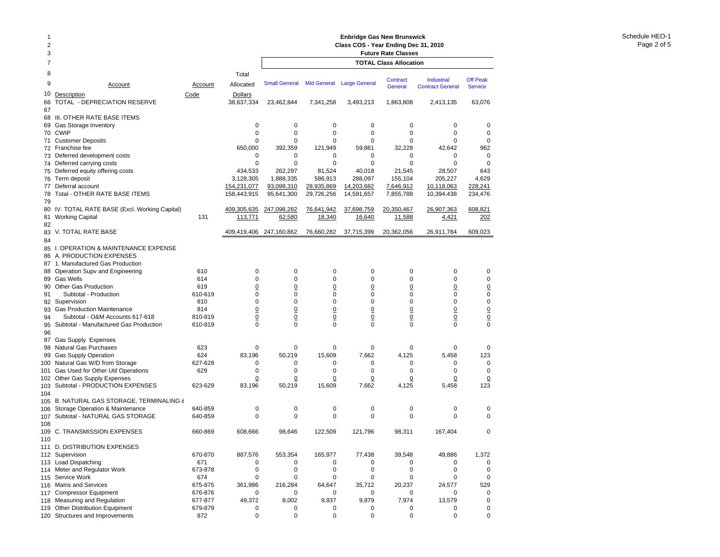## 2 **Class COS - Year Ending Dec 31, 2010** 3 **Future Rate Classes** 7 **TOTAL Class Allocation**8 Total9 Account Account Allocated10Description Code Dollars Small General Mid General Large General Contract Industrial Off Peak<br>Contract General Service **Service** 66 TOTAL - DEPRECIATION RESERVE 38,637,334 23,462,844 7,341,258 3,493,213 1,863,808 2,413,135 63,076 67 68 III. OTHER RATE BASE ITEMS 69 Gas Storage Inventory 0 0 0 0 0 0 0 70 CWIP CWIP 0 0 0 0 0 0 0 71 Customer Deposits 0 0 0 0 0 0 0 72 Franchise fee Franchise fee 650,000 392,359 121,949 59,861 32,228 42,642 962 73 Deferred development costs 0 0 0 0 0 0 74 Deferred carrying costs 0 0 0 0 0 0 0 75 Deferred equity offering costs 434,533 262,297 81,524 40,018 21,545 28,507 643 76 Term deposit Term deposit 3,128,305 1,888,335 586,913 288,097 155,104 205,227 4,629 77 Deferral account 154,231,077 93,098,310 28,935,869 14,203,682 7,646,912 10,118,063 228,241 78 Total - OTHER RATE BASE ITEMS 158,443,915 95,641,300 29,726,256 14,591,657 7,855,788 10,394,438 234,476 7980 IV. TOTAL RATE BASE (Excl. Working Capital) <u>409,305.635 247,098,282 76,641,942 37,698,759 20,350,467</u> <u>26,907,363</u> <u>608,821</u> 81 Working Capital 131 <u>113,771 62,580 18,340</u> <u>16,640</u> <u>11,588</u> <u>4,421</u> 202 8283 V. TOTAL RATE BASE 409,419,406 247,160,862 76,660,282 37,715,399 20,362,056 26,911,784 609,023 84 85 I. OPERATION & MAINTENANCE EXPENSE 86 A. PRODUCTION EXPENSES 87 1. Manufactured Gas Production 88 Operation Supv and Engineering 610 0 0 0 0 0 0 89 Gas Wells Gas Wells 614 0 0 0 0 0 0 0 90 Other Gas Production 619 0 0 0 0 0 0 0 91 Subtotal - Production 610-619 0 0 0 0 0 0 092 Supervision Supervision 810 0 0 0 0 0 0 0 93 Gas Production Maintenance 814 0 0 0 0 0 0 94 Subtotal - O&M Accounts 617-618 810-819 0 0 0 0 0 0 95 Subtotal - Manufactured Gas Production 610-819 0 0 0 0 0 0 0 9697 Gas Supply Expenses 98 Natural Gas Purchases 623 0 0 0 0 0 0 0 99 Gas Supply Operation 624 83,196 50,219 15,609 7,662 4,125 5,458 123 100 Natural Gas W/D from Storage 627-628 0 0 0 0 0 0 0 101 Gas Used for Other Util Operations 629 0 0 0 0 0 0 0 102 Other Gas Supply Expenses <u>0</u> <u>0</u> <u>0</u> <u>0</u> 0 0 0 103 Subtotal - PRODUCTION EXPENSES 623-629 83,196 50,219 15,609 7,662 4,125 5,458 123 104105B. NATURAL GAS STORAGE, TERMINALING & 106 Storage Operation & Maintenance 640-859 0 0 0 0 0 0 107 Subtotal - NATURAL GAS STORAGE 640-859 0 0 0 0 0 0 0 108 109 C. TRANSMISSION EXPENSES 660-869 608,666 98,646 122,509 121,796 98,311 167,404 0 110 111 D. DISTRIBUTION EXPENSES 112 Supervision Supervision 670-870 887,576 553,354 165,977 77,438 39,548 49,886 1,372 113 Load Dispatching 671 0 0 0 0 0 0 114 Meter and Regulator Work 673-878 0 0 0 0 0 0 115 Service Work 5 Service Work 674 0 0 0 0 0 0 116 Mains and Services 675-875 361,986 216,284 64,647 35,712 20,237 24,577 529 117 Compressor Equipment 676-876 0 0 0 0 0 0 0 118 Measuring and Regulation 677-877 49,372 8,002 9,937 9,879 7,974 13,579 0 119 Other Distribution Equipment 679-879 0 0 0 0 0 0

120 Structures and Improvements 872 0 0 0 0 0 0

**Enbridge Gas New Brunswick** 

1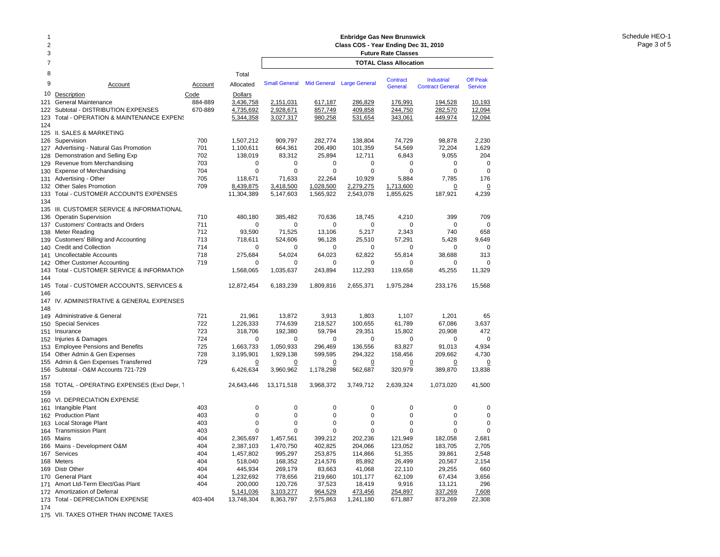| 1<br>$\overline{2}$<br>3 |                                                                            |            |                          | <b>Enbridge Gas New Brunswick</b><br>Class COS - Year Ending Dec 31, 2010<br><b>Future Rate Classes</b> |                        |                           |                               |                                              |                                   |
|--------------------------|----------------------------------------------------------------------------|------------|--------------------------|---------------------------------------------------------------------------------------------------------|------------------------|---------------------------|-------------------------------|----------------------------------------------|-----------------------------------|
| 7                        |                                                                            |            |                          |                                                                                                         |                        |                           | <b>TOTAL Class Allocation</b> |                                              |                                   |
| 8                        |                                                                            |            | Total                    |                                                                                                         |                        |                           |                               |                                              |                                   |
| 9                        | Account                                                                    | Account    | Allocated                | <b>Small General</b>                                                                                    |                        | Mid General Large General | Contract<br>General           | <b>Industrial</b><br><b>Contract General</b> | <b>Off Peak</b><br><b>Service</b> |
| 10                       | Description                                                                | Code       | Dollars                  |                                                                                                         |                        |                           |                               |                                              |                                   |
| 121                      | General Maintenance                                                        | 884-889    | 3,436,758                | 2,151,031                                                                                               | 617,187                | 286,829                   | 176,991                       | 194,528                                      | 10,193                            |
| 122<br>123               | Subtotal - DISTRIBUTION EXPENSES<br>Total - OPERATION & MAINTENANCE EXPENS | 670-889    | 4,735,692<br>5,344,358   | 2,928,671<br>3,027,317                                                                                  | 857,749<br>980,258     | 409,858<br>531,654        | 244,750<br>343,061            | 282,570<br>449,974                           | 12,094<br>12,094                  |
| 124                      |                                                                            |            |                          |                                                                                                         |                        |                           |                               |                                              |                                   |
|                          | 125 II. SALES & MARKETING                                                  |            |                          |                                                                                                         |                        |                           |                               |                                              |                                   |
| 126                      | Supervision                                                                | 700        | 1,507,212                | 909.797                                                                                                 | 282,774                | 138,804                   | 74,729                        | 98,878                                       | 2,230                             |
|                          | 127 Advertising - Natural Gas Promotion                                    | 701        | 1,100,611                | 664,361                                                                                                 | 206,490                | 101,359                   | 54,569                        | 72,204                                       | 1,629                             |
| 128                      | Demonstration and Selling Exp                                              | 702        | 138,019                  | 83,312                                                                                                  | 25,894                 | 12,711                    | 6,843                         | 9,055                                        | 204                               |
| 129                      | Revenue from Merchandising                                                 | 703        | $\mathbf 0$              | 0                                                                                                       | 0                      | 0                         | 0                             | 0                                            | $\mathbf 0$                       |
| 130                      | <b>Expense of Merchandising</b>                                            | 704        | $\mathbf 0$              | $\mathbf 0$                                                                                             | $\mathbf 0$            | $\mathbf 0$               | 0                             | $\mathbf 0$                                  | $\mathbf 0$                       |
| 131                      | Advertising - Other                                                        | 705        | 118,671                  | 71,633                                                                                                  | 22,264                 | 10,929                    | 5,884                         | 7,785                                        | 176                               |
| 132<br>133               | <b>Other Sales Promotion</b><br>Total - CUSTOMER ACCOUNTS EXPENSES         | 709        | 8,439,875<br>11,304,389  | 3,418,500<br>5,147,603                                                                                  | 1,028,500<br>1,565,922 | 2,279,275<br>2,543,078    | 1,713,600<br>1,855,625        | $\overline{0}$<br>187,921                    | $\Omega$<br>4,239                 |
| 134                      |                                                                            |            |                          |                                                                                                         |                        |                           |                               |                                              |                                   |
|                          | 135 III. CUSTOMER SERVICE & INFORMATIONAL                                  |            |                          |                                                                                                         |                        |                           |                               |                                              |                                   |
| 136                      | <b>Operatin Supervision</b>                                                | 710        | 480,180                  | 385,482                                                                                                 | 70,636                 | 18,745                    | 4,210                         | 399                                          | 709                               |
| 137                      | <b>Customers' Contracts and Orders</b>                                     | 711        | $\mathbf 0$              | 0                                                                                                       | 0                      | 0                         | 0                             | 0                                            | $\mathbf 0$                       |
| 138                      | Meter Reading                                                              | 712        | 93,590                   | 71,525                                                                                                  | 13,106                 | 5,217                     | 2,343                         | 740                                          | 658                               |
| 139                      | Customers' Billing and Accounting                                          | 713        | 718,611                  | 524,606                                                                                                 | 96,128                 | 25,510                    | 57,291                        | 5,428                                        | 9,649                             |
| 140                      | <b>Credit and Collection</b>                                               | 714        | 0                        | 0                                                                                                       | 0                      | 0                         | 0                             | 0                                            | $\mathbf 0$                       |
| 141                      | Uncollectable Accounts                                                     | 718        | 275,684                  | 54,024                                                                                                  | 64,023                 | 62,822                    | 55,814                        | 38,688                                       | 313                               |
| 142<br>143               | <b>Other Customer Accounting</b><br>Total - CUSTOMER SERVICE & INFORMATION | 719        | $\mathbf 0$<br>1,568,065 | 0<br>1,035,637                                                                                          | 0<br>243,894           | 0<br>112,293              | 0<br>119,658                  | 0<br>45,255                                  | $\Omega$<br>11,329                |
| 144                      |                                                                            |            |                          |                                                                                                         |                        |                           |                               |                                              |                                   |
| 145                      | Total - CUSTOMER ACCOUNTS, SERVICES &                                      |            | 12,872,454               | 6,183,239                                                                                               | 1,809,816              | 2,655,371                 | 1,975,284                     | 233,176                                      | 15,568                            |
| 146                      |                                                                            |            |                          |                                                                                                         |                        |                           |                               |                                              |                                   |
|                          | 147 IV. ADMINISTRATIVE & GENERAL EXPENSES                                  |            |                          |                                                                                                         |                        |                           |                               |                                              |                                   |
| 148                      |                                                                            |            |                          |                                                                                                         |                        |                           |                               |                                              |                                   |
| 149                      | Administrative & General                                                   | 721        | 21,961                   | 13,872                                                                                                  | 3,913                  | 1,803                     | 1,107                         | 1,201                                        | 65                                |
| 150                      | <b>Special Services</b>                                                    | 722        | 1,226,333                | 774,639                                                                                                 | 218,527                | 100,655                   | 61,789                        | 67,086                                       | 3,637                             |
| 151<br>152               | Insurance<br>Injuries & Damages                                            | 723<br>724 | 318,706<br>$\mathbf 0$   | 192,380<br>0                                                                                            | 59,794<br>0            | 29,351<br>$\mathbf 0$     | 15,802<br>0                   | 20,908<br>0                                  | 472<br>$\mathbf 0$                |
| 153                      | <b>Employee Pensions and Benefits</b>                                      | 725        | 1,663,733                | 1,050,933                                                                                               | 296,469                | 136,556                   | 83,827                        | 91,013                                       | 4,934                             |
| 154                      | Other Admin & Gen Expenses                                                 | 728        | 3,195,901                | 1,929,138                                                                                               | 599,595                | 294,322                   | 158,456                       | 209,662                                      | 4,730                             |
| 155                      | Admin & Gen Expenses Transferred                                           | 729        | $\overline{0}$           | <u>0</u>                                                                                                | $\overline{0}$         | $\overline{0}$            | <u>0</u>                      | $\overline{0}$                               | <u>0</u>                          |
| 156                      | Subtotal - O&M Accounts 721-729                                            |            | 6,426,634                | 3,960,962                                                                                               | 1,178,298              | 562,687                   | 320,979                       | 389,870                                      | 13,838                            |
| 157                      |                                                                            |            |                          |                                                                                                         |                        |                           |                               |                                              |                                   |
| 158                      | TOTAL - OPERATING EXPENSES (Excl Depr, 1                                   |            | 24,643,446               | 13,171,518                                                                                              | 3,968,372              | 3,749,712                 | 2,639,324                     | 1,073,020                                    | 41,500                            |
| 159                      |                                                                            |            |                          |                                                                                                         |                        |                           |                               |                                              |                                   |
|                          | 160 VI. DEPRECIATION EXPENSE<br>Intangible Plant                           | 403        | 0                        | 0                                                                                                       | 0                      | 0                         | 0                             | 0                                            | 0                                 |
| 161                      | 162 Production Plant                                                       | 403        | $\mathbf 0$              | $\mathbf 0$                                                                                             | 0                      | 0                         | 0                             | 0                                            | 0                                 |
| 163                      | Local Storage Plant                                                        | 403        | $\mathbf 0$              | $\mathbf 0$                                                                                             | $\mathbf 0$            | 0                         | 0                             | $\mathbf 0$                                  | 0                                 |
|                          | 164 Transmission Plant                                                     | 403        | $\mathbf 0$              | 0                                                                                                       | 0                      | 0                         | $\Omega$                      | $\mathbf 0$                                  | 0                                 |
|                          | 165 Mains                                                                  | 404        | 2,365,697                | 1,457,561                                                                                               | 399,212                | 202,236                   | 121,949                       | 182,058                                      | 2,681                             |
|                          | 166 Mains - Development O&M                                                | 404        | 2,387,103                | 1,470,750                                                                                               | 402,825                | 204,066                   | 123,052                       | 183,705                                      | 2,705                             |
|                          | 167 Services                                                               | 404        | 1,457,802                | 995,297                                                                                                 | 253,875                | 114,866                   | 51,355                        | 39,861                                       | 2,548                             |
|                          | 168 Meters                                                                 | 404        | 518,040                  | 168,352                                                                                                 | 214,576                | 85,892                    | 26,499                        | 20,567                                       | 2,154                             |
|                          | 169 Distr Other                                                            | 404        | 445,934                  | 269,179                                                                                                 | 83,663                 | 41,068                    | 22,110                        | 29,255                                       | 660                               |
|                          | 170 General Plant<br>171 Amort Ltd-Term Elect/Gas Plant                    | 404<br>404 | 1,232,692<br>200,000     | 778,656<br>120,726                                                                                      | 219,660<br>37,523      | 101,177<br>18,419         | 62,109<br>9,916               | 67,434<br>13,121                             | 3,656<br>296                      |
|                          | 172 Amortization of Deferral                                               |            | 5,141,036                | 3,103,277                                                                                               | 964,529                | 473,456                   | 254,897                       | 337,269                                      | 7,608                             |
|                          | 173 Total - DEPRECIATION EXPENSE                                           | 403-404    | 13,748,304               | 8,363,797                                                                                               | 2,575,863              | 1,241,180                 | 671,887                       | 873,269                                      | 22,308                            |
| 174                      |                                                                            |            |                          |                                                                                                         |                        |                           |                               |                                              |                                   |

175 VII. TAXES OTHER THAN INCOME TAXES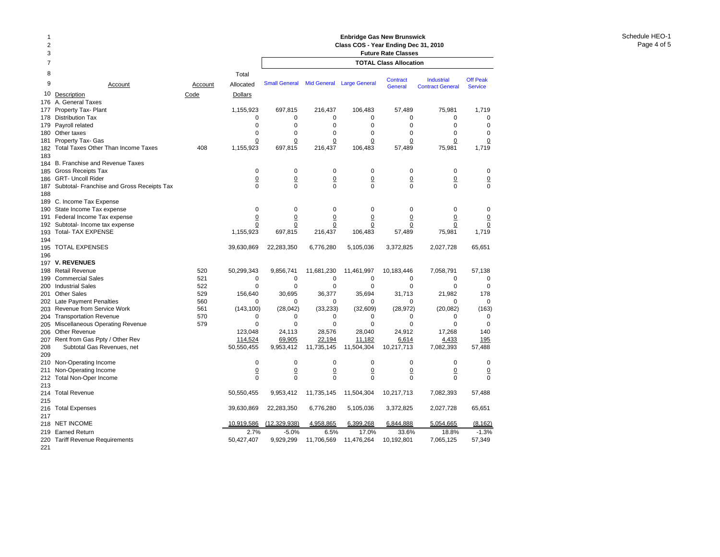| $\overline{c}$<br>3 |                                            |         |                | Class COS - Year Ending Dec 31, 2010<br><b>Future Rate Classes</b> |                    |                      |                            |                                              |                                   |  |
|---------------------|--------------------------------------------|---------|----------------|--------------------------------------------------------------------|--------------------|----------------------|----------------------------|----------------------------------------------|-----------------------------------|--|
| $\overline{7}$      |                                            |         |                | <b>TOTAL Class Allocation</b>                                      |                    |                      |                            |                                              |                                   |  |
| 8                   |                                            |         | Total          |                                                                    |                    |                      |                            |                                              |                                   |  |
| 9                   | Account                                    | Account | Allocated      | <b>Small General</b>                                               | <b>Mid General</b> | <b>Large General</b> | <b>Contract</b><br>General | <b>Industrial</b><br><b>Contract General</b> | <b>Off Peak</b><br><b>Service</b> |  |
| 10                  | Description                                | Code    | Dollars        |                                                                    |                    |                      |                            |                                              |                                   |  |
| 176                 | A. General Taxes                           |         |                |                                                                    |                    |                      |                            |                                              |                                   |  |
| 177                 | Property Tax- Plant                        |         | 1,155,923      | 697,815                                                            | 216,437            | 106,483              | 57,489                     | 75,981                                       | 1,719                             |  |
| 178                 | <b>Distribution Tax</b>                    |         | 0              | 0                                                                  | 0                  | 0                    | 0                          | $\mathbf 0$                                  | 0                                 |  |
| 179                 | Payroll related                            |         | $\mathbf 0$    | 0                                                                  | 0                  | 0                    | 0                          | $\mathbf 0$                                  | 0                                 |  |
| 180                 | Other taxes                                |         | $\mathbf 0$    | $\mathbf 0$                                                        | 0                  | $\mathbf 0$          | $\mathbf 0$                | $\mathbf 0$                                  | $\mathbf 0$                       |  |
| 181                 | Property Tax- Gas                          |         | 0              | 0                                                                  | 0                  | 0                    | 0                          | 0                                            | 0                                 |  |
| 182                 | <b>Total Taxes Other Than Income Taxes</b> | 408     | 1,155,923      | 697,815                                                            | 216,437            | 106,483              | 57,489                     | 75,981                                       | 1,719                             |  |
| 183                 |                                            |         |                |                                                                    |                    |                      |                            |                                              |                                   |  |
| 184                 | B. Franchise and Revenue Taxes             |         |                |                                                                    |                    |                      |                            |                                              |                                   |  |
| 185                 | Gross Receipts Tax                         |         | $\mathbf 0$    | 0                                                                  | $\mathbf 0$        | 0                    | 0                          | 0                                            | 0                                 |  |
| 186                 | <b>GRT- Uncoll Rider</b>                   |         | $\overline{0}$ | $\underline{0}$                                                    | $\underline{0}$    | $\underline{0}$      | $\underline{0}$            | $\underline{0}$                              | $\overline{0}$                    |  |
| 187                 | Subtotal- Franchise and Gross Receipts Tax |         | $\Omega$       | $\Omega$                                                           | 0                  | $\mathbf 0$          | $\mathbf 0$                | $\Omega$                                     | $\mathbf 0$                       |  |
| 188                 |                                            |         |                |                                                                    |                    |                      |                            |                                              |                                   |  |
| 189                 | C. Income Tax Expense                      |         |                |                                                                    |                    |                      |                            |                                              |                                   |  |
| 190                 | State Income Tax expense                   |         | $\mathbf 0$    | $\mathbf 0$                                                        | $\mathbf 0$        | $\mathbf 0$          | $\mathbf 0$                | $\mathbf 0$                                  | 0                                 |  |
| 191                 | Federal Income Tax expense                 |         | $\overline{0}$ | $\overline{0}$                                                     | $\overline{0}$     | $\overline{0}$       | $\overline{0}$             | $\overline{0}$                               | $\overline{0}$                    |  |
| 192                 | Subtotal- Income tax expense               |         | $\overline{0}$ | $\overline{0}$                                                     | <u>0</u>           | $\overline{0}$       | $\overline{0}$             | $\Omega$                                     | $\underline{0}$                   |  |
| 193                 | <b>Total- TAX EXPENSE</b>                  |         | 1,155,923      | 697,815                                                            | 216,437            | 106,483              | 57,489                     | 75,981                                       | 1,719                             |  |
| 194                 |                                            |         |                |                                                                    |                    |                      |                            |                                              |                                   |  |
| 195                 | <b>TOTAL EXPENSES</b>                      |         | 39,630,869     | 22,283,350                                                         | 6,776,280          | 5,105,036            | 3,372,825                  | 2,027,728                                    | 65,651                            |  |
| 196                 |                                            |         |                |                                                                    |                    |                      |                            |                                              |                                   |  |
| 197                 | <b>V. REVENUES</b>                         |         |                |                                                                    |                    |                      |                            |                                              |                                   |  |
| 198                 | <b>Retail Revenue</b>                      | 520     | 50,299,343     | 9,856,741                                                          | 11,681,230         | 11,461,997           | 10,183,446                 | 7,058,791                                    | 57,138                            |  |
| 199                 | <b>Commercial Sales</b>                    | 521     | $\mathbf 0$    | 0                                                                  | 0                  | 0                    | 0                          | $\mathbf 0$                                  | 0                                 |  |
| 200                 | <b>Industrial Sales</b>                    | 522     | 0              | $\mathbf 0$                                                        | 0                  | 0                    | 0                          | $\mathbf 0$                                  | 0                                 |  |
| 201                 | <b>Other Sales</b>                         | 529     | 156,640        | 30,695                                                             | 36,377             | 35,694               | 31,713                     | 21,982                                       | 178                               |  |
| 202                 | <b>Late Payment Penalties</b>              | 560     | 0              | 0                                                                  | 0                  | 0                    | 0                          | 0                                            | 0                                 |  |
| 203                 | Revenue from Service Work                  | 561     | (143, 100)     | (28, 042)                                                          | (33, 233)          | (32,609)             | (28, 972)                  | (20, 082)                                    | (163)                             |  |
| 204                 | <b>Transportation Revenue</b>              | 570     | $\mathbf 0$    | $\mathbf 0$                                                        | 0                  | 0                    | 0                          | $\mathbf 0$                                  | 0                                 |  |
| 205                 | Miscellaneous Operating Revenue            | 579     | $\mathbf 0$    | 0                                                                  | 0                  | 0                    | $\Omega$                   | $\mathbf 0$                                  | $\mathbf 0$                       |  |
| 206                 | <b>Other Revenue</b>                       |         | 123,048        | 24,113                                                             | 28,576             | 28,040               | 24,912                     | 17,268                                       | 140                               |  |
| 207                 | Rent from Gas Ppty / Other Rev             |         | 114,524        | 69,905                                                             | 22,194             | 11,182               | 6,614                      | 4,433                                        | 195                               |  |
| 208                 | Subtotal Gas Revenues, net                 |         | 50,550,455     | 9,953,412                                                          | 11,735,145         | 11,504,304           | 10,217,713                 | 7,082,393                                    | 57,488                            |  |
| 209                 |                                            |         |                |                                                                    |                    |                      |                            |                                              |                                   |  |
| 210                 | Non-Operating Income                       |         | 0              | 0                                                                  | $\mathbf 0$        | 0                    | 0                          | 0                                            | 0                                 |  |
| 211                 | Non-Operating Income                       |         | $\overline{0}$ | $\overline{0}$                                                     | $\overline{0}$     | $\underline{0}$      | $\underline{0}$            | $\overline{0}$                               | $\overline{0}$                    |  |
| 212                 | <b>Total Non-Oper Income</b>               |         | 0              | $\mathbf 0$                                                        | $\Omega$           | $\Omega$             | $\mathbf 0$                | $\Omega$                                     | $\mathbf 0$                       |  |
| 213                 |                                            |         |                |                                                                    |                    |                      |                            |                                              |                                   |  |
| 214                 | <b>Total Revenue</b>                       |         | 50,550,455     | 9,953,412                                                          | 11,735,145         | 11,504,304           | 10,217,713                 | 7,082,393                                    | 57,488                            |  |
| 215                 |                                            |         |                |                                                                    |                    |                      |                            |                                              |                                   |  |
| 216                 | <b>Total Expenses</b>                      |         | 39,630,869     | 22,283,350                                                         | 6,776,280          | 5,105,036            | 3,372,825                  | 2,027,728                                    | 65,651                            |  |
| 217                 |                                            |         |                |                                                                    |                    |                      |                            |                                              |                                   |  |
| 218                 | <b>NET INCOME</b>                          |         | 10.919.586     | (12, 329, 938)                                                     | 4,958,865          | 6,399,268            | 6,844,888                  | 5,054,665                                    | (8, 162)                          |  |
| 219                 | <b>Earned Return</b>                       |         | 2.7%           | $-5.0%$                                                            | 6.5%               | 17.0%                | 33.6%                      | 18.8%                                        | $-1.3%$                           |  |
| 220                 | <b>Tariff Revenue Requirements</b>         |         | 50,427,407     | 9,929,299                                                          | 11,706,569         | 11,476,264           | 10,192,801                 | 7,065,125                                    | 57,349                            |  |
| 221                 |                                            |         |                |                                                                    |                    |                      |                            |                                              |                                   |  |

**Enbridge Gas New Brunswick** 

1